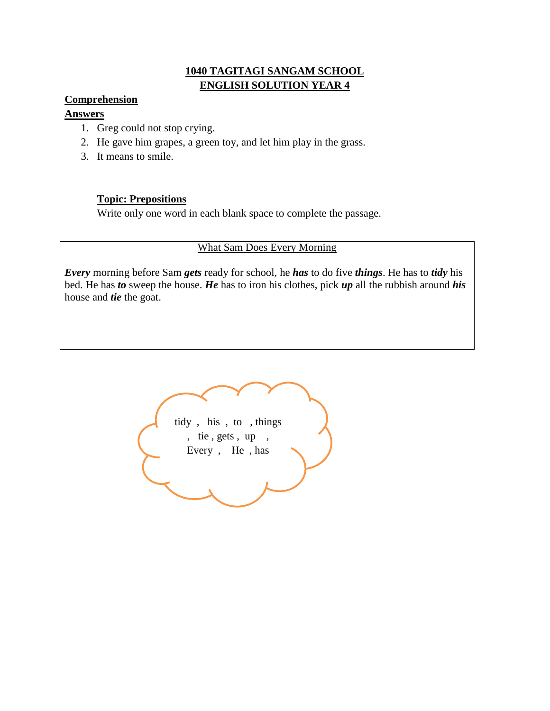### **1040 TAGITAGI SANGAM SCHOOL ENGLISH SOLUTION YEAR 4**

#### **Comprehension**

#### **Answers**

- 1. Greg could not stop crying.
- 2. He gave him grapes, a green toy, and let him play in the grass.
- 3. It means to smile.

#### **Topic: Prepositions**

Write only one word in each blank space to complete the passage.

### What Sam Does Every Morning

*Every* morning before Sam *gets* ready for school, he *has* to do five *things*. He has to *tidy* his bed. He has *to* sweep the house. *He* has to iron his clothes, pick *up* all the rubbish around *his*  house and *tie* the goat.

tidy , his , to , things , tie , gets , up , Every , He , has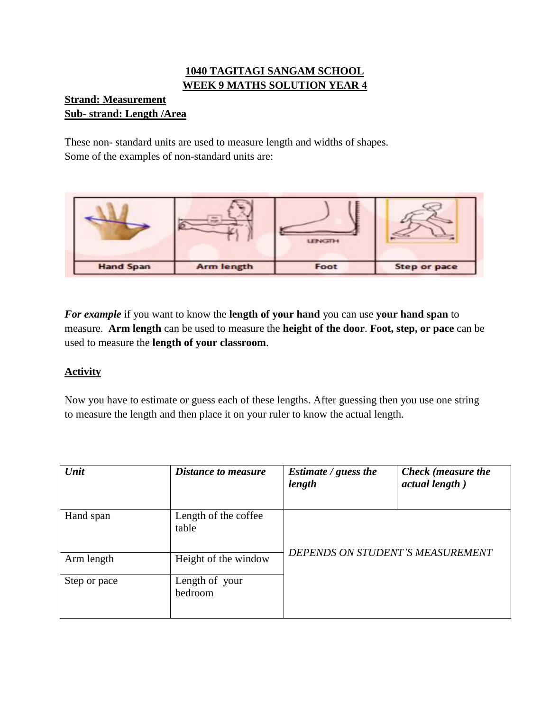# **1040 TAGITAGI SANGAM SCHOOL WEEK 9 MATHS SOLUTION YEAR 4**

## **Strand: Measurement Sub- strand: Length /Area**

These non- standard units are used to measure length and widths of shapes. Some of the examples of non-standard units are:



*For example* if you want to know the **length of your hand** you can use **your hand span** to measure. **Arm length** can be used to measure the **height of the door**. **Foot, step, or pace** can be used to measure the **length of your classroom**.

## **Activity**

Now you have to estimate or guess each of these lengths. After guessing then you use one string to measure the length and then place it on your ruler to know the actual length.

| Unit         | <b>Distance to measure</b>    | <i>Estimate / guess the</i><br>length | Check (measure the<br>actual length) |
|--------------|-------------------------------|---------------------------------------|--------------------------------------|
| Hand span    | Length of the coffee<br>table | DEPENDS ON STUDENT'S MEASUREMENT      |                                      |
| Arm length   | Height of the window          |                                       |                                      |
| Step or pace | Length of your<br>bedroom     |                                       |                                      |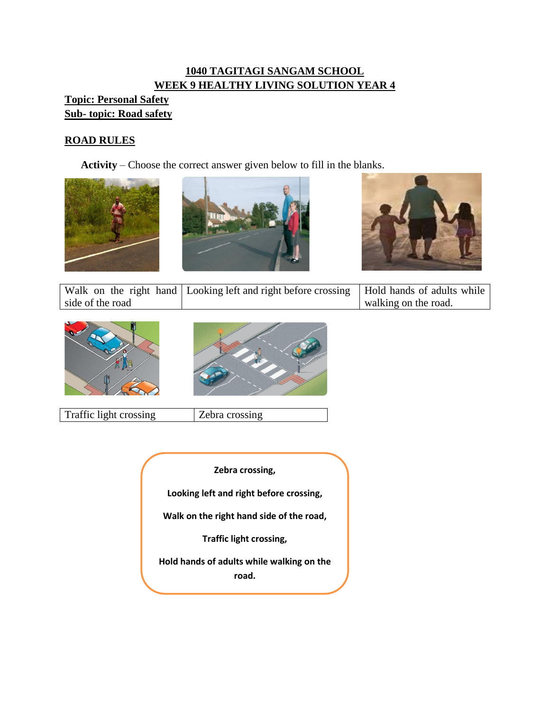# **1040 TAGITAGI SANGAM SCHOOL WEEK 9 HEALTHY LIVING SOLUTION YEAR 4**

# **Topic: Personal Safety Sub- topic: Road safety**

# **ROAD RULES**

**Activity** – Choose the correct answer given below to fill in the blanks.







|                  | Walk on the right hand   Looking left and right before crossing   Hold hands of adults while |                      |
|------------------|----------------------------------------------------------------------------------------------|----------------------|
| side of the road |                                                                                              | walking on the road. |





Traffic light crossing <br> Zebra crossing

**Zebra crossing, Looking left and right before crossing, Walk on the right hand side of the road, Traffic light crossing, Hold hands of adults while walking on the road.**